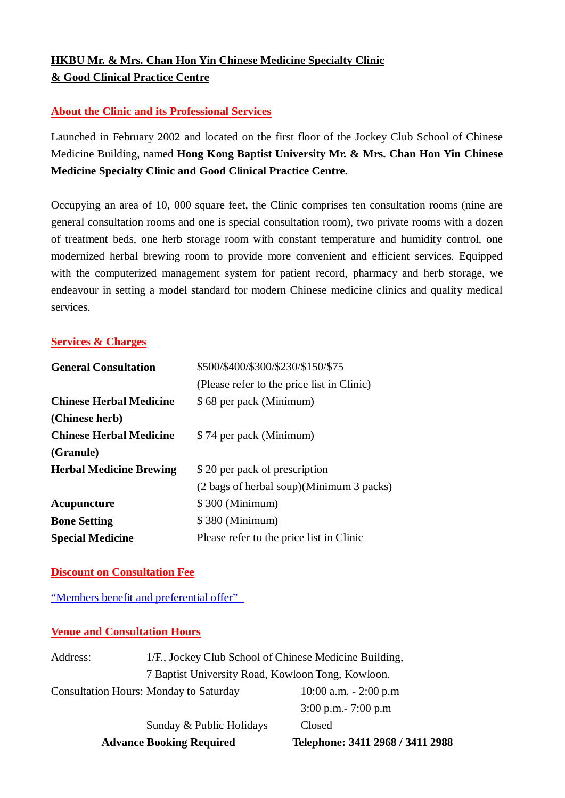# **HKBU Mr. & Mrs. Chan Hon Yin Chinese Medicine Specialty Clinic & Good Clinical Practice Centre**

## **About the Clinic and its Professional Services**

Launched in February 2002 and located on the first floor of the Jockey Club School of Chinese Medicine Building, named **Hong Kong Baptist University Mr. & Mrs. Chan Hon Yin Chinese Medicine Specialty Clinic and Good Clinical Practice Centre.**

Occupying an area of 10, 000 square feet, the Clinic comprises ten consultation rooms (nine are general consultation rooms and one is special consultation room), two private rooms with a dozen of treatment beds, one herb storage room with constant temperature and humidity control, one modernized herbal brewing room to provide more convenient and efficient services. Equipped with the computerized management system for patient record, pharmacy and herb storage, we endeavour in setting a model standard for modern Chinese medicine clinics and quality medical services.

### **Services & Charges**

| <b>General Consultation</b>    | \$500/\$400/\$300/\$230/\$150/\$75         |  |
|--------------------------------|--------------------------------------------|--|
|                                | (Please refer to the price list in Clinic) |  |
| <b>Chinese Herbal Medicine</b> | \$68 per pack (Minimum)                    |  |
| (Chinese herb)                 |                                            |  |
| <b>Chinese Herbal Medicine</b> | \$74 per pack (Minimum)                    |  |
| (Granule)                      |                                            |  |
| <b>Herbal Medicine Brewing</b> | \$20 per pack of prescription              |  |
|                                | (2 bags of herbal soup)(Minimum 3 packs)   |  |
| Acupuncture                    | \$300 (Minimum)                            |  |
| <b>Bone Setting</b>            | \$380 (Minimum)                            |  |
| <b>Special Medicine</b>        | Please refer to the price list in Clinic   |  |

### **Discount on Consultation Fee**

"Members benefit and preferential offer"

#### **Venue and Consultation Hours**

|          | <b>Advance Booking Required</b>                        | Telephone: 3411 2968 / 3411 2988 |
|----------|--------------------------------------------------------|----------------------------------|
|          | Sunday & Public Holidays                               | Closed                           |
|          |                                                        | $3:00$ p.m. $-7:00$ p.m          |
|          | <b>Consultation Hours: Monday to Saturday</b>          | $10:00$ a.m. $-2:00$ p.m         |
|          | 7 Baptist University Road, Kowloon Tong, Kowloon.      |                                  |
| Address: | 1/F., Jockey Club School of Chinese Medicine Building, |                                  |